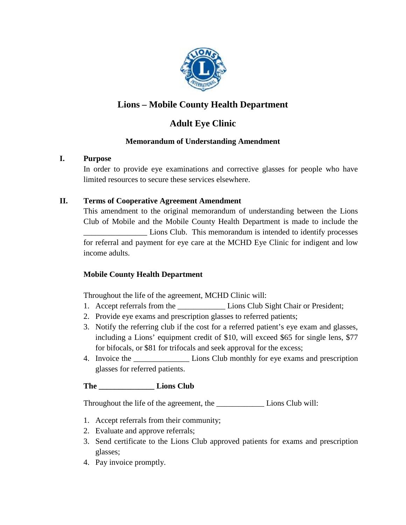

# **Lions – Mobile County Health Department**

# **Adult Eye Clinic**

### **Memorandum of Understanding Amendment**

### **I. Purpose**

In order to provide eye examinations and corrective glasses for people who have limited resources to secure these services elsewhere.

### **II. Terms of Cooperative Agreement Amendment**

This amendment to the original memorandum of understanding between the Lions Club of Mobile and the Mobile County Health Department is made to include the Lions Club. This memorandum is intended to identify processes for referral and payment for eye care at the MCHD Eye Clinic for indigent and low income adults.

## **Mobile County Health Department**

Throughout the life of the agreement, MCHD Clinic will:

- 1. Accept referrals from the Lions Club Sight Chair or President;
- 2. Provide eye exams and prescription glasses to referred patients;
- 3. Notify the referring club if the cost for a referred patient's eye exam and glasses, including a Lions' equipment credit of \$10, will exceed \$65 for single lens, \$77 for bifocals, or \$81 for trifocals and seek approval for the excess;
- 4. Invoice the Lions Club monthly for eye exams and prescription glasses for referred patients.

#### **The \_\_\_\_\_\_\_\_\_\_\_\_\_\_ Lions Club**

Throughout the life of the agreement, the \_\_\_\_\_\_\_\_\_\_\_\_ Lions Club will:

- 1. Accept referrals from their community;
- 2. Evaluate and approve referrals;
- 3. Send certificate to the Lions Club approved patients for exams and prescription glasses;
- 4. Pay invoice promptly.